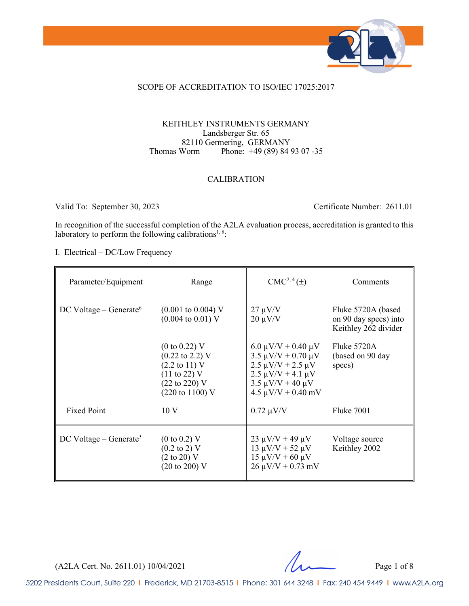

#### SCOPE OF ACCREDITATION TO ISO/IEC 17025:2017

#### KEITHLEY INSTRUMENTS GERMANY Landsberger Str. 65 82110 Germering, GERMANY<br>Thomas Worm Phone: +49 (89) 84 9 Phone: +49 (89) 84 93 07 -35

#### CALIBRATION

Valid To: September 30, 2023 Certificate Number: 2611.01

In recognition of the successful completion of the A2LA evaluation process, accreditation is granted to this laboratory to perform the following calibrations<sup>1, 8</sup>:

I. Electrical – DC/Low Frequency

| Parameter/Equipment                  | Range                                                                                                                                                                                           | $CMC2, 4(\pm)$                                                                                                                                                              | Comments                                                             |
|--------------------------------------|-------------------------------------------------------------------------------------------------------------------------------------------------------------------------------------------------|-----------------------------------------------------------------------------------------------------------------------------------------------------------------------------|----------------------------------------------------------------------|
| $DC$ Voltage – Generate <sup>6</sup> | $(0.001 \text{ to } 0.004) \text{ V}$<br>$(0.004 \text{ to } 0.01) \text{ V}$                                                                                                                   | $27 \mu V/V$<br>$20 \mu V/V$                                                                                                                                                | Fluke 5720A (based)<br>on 90 day specs) into<br>Keithley 262 divider |
|                                      | $(0 \text{ to } 0.22)$ V<br>$(0.22 \text{ to } 2.2) \text{ V}$<br>$(2.2 \text{ to } 11) \text{ V}$<br>$(11 \text{ to } 22)$ V<br>$(22 \text{ to } 220)$ V<br>$(220 \text{ to } 1100) \text{ V}$ | $6.0 \mu V/V + 0.40 \mu V$<br>$3.5 \mu V/V + 0.70 \mu V$<br>$2.5 \mu V/V + 2.5 \mu V$<br>$2.5 \mu V/V + 4.1 \mu V$<br>$3.5 \mu V/V + 40 \mu V$<br>$4.5 \mu V/V + 0.40 \ mV$ | Fluke 5720A<br>(based on 90 day<br>specs)                            |
| <b>Fixed Point</b>                   | 10 <sub>V</sub>                                                                                                                                                                                 | $0.72 \mu V/V$                                                                                                                                                              | Fluke 7001                                                           |
| $DC$ Voltage – Generate <sup>3</sup> | $(0 \text{ to } 0.2) \text{ V}$<br>$(0.2 \text{ to } 2) \text{ V}$<br>$(2 \text{ to } 20)$ V<br>$(20 \text{ to } 200) \text{ V}$                                                                | $23 \mu V/V + 49 \mu V$<br>$13 \mu V/V + 52 \mu V$<br>$15 \mu V/V + 60 \mu V$<br>$26 \mu V/V + 0.73 \text{ mV}$                                                             | Voltage source<br>Keithley 2002                                      |

(A2LA Cert. No. 2611.01) 10/04/2021 Page 1 of 8

5202 Presidents Court, Suite 220 | Frederick, MD 21703-8515 | Phone: 301 644 3248 | Fax: 240 454 9449 | www.A2LA.org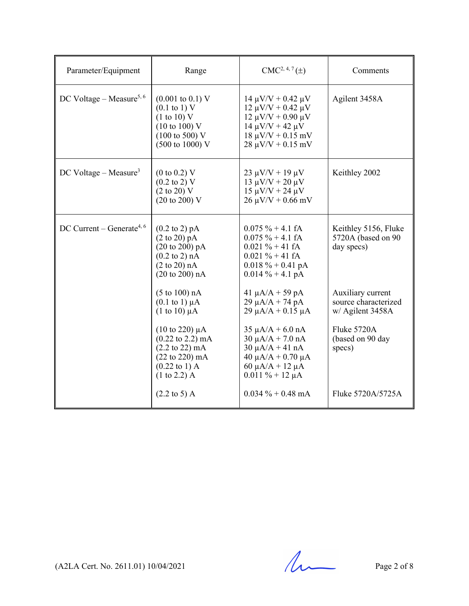| Parameter/Equipment                     | Range                                                                                                                                                                                                                                  | $CMC2, 4, 7(\pm)$                                                                                                                                                                                | Comments                                                                                                   |
|-----------------------------------------|----------------------------------------------------------------------------------------------------------------------------------------------------------------------------------------------------------------------------------------|--------------------------------------------------------------------------------------------------------------------------------------------------------------------------------------------------|------------------------------------------------------------------------------------------------------------|
| DC Voltage – Measure <sup>5, 6</sup>    | $(0.001 \text{ to } 0.1) \text{ V}$<br>$(0.1 \text{ to } 1) \text{ V}$<br>(1 to 10) V<br>$(10 \text{ to } 100)$ V<br>$(100 \text{ to } 500) \text{ V}$<br>(500 to 1000) V                                                              | $14 \mu V/V + 0.42 \mu V$<br>$12 \mu V/V + 0.42 \mu V$<br>$12 \mu V/V + 0.90 \mu V$<br>$14 \mu V/V + 42 \mu V$<br>$18 \mu V/V + 0.15 \ mV$<br>$28 \mu V/V + 0.15 \ mV$                           | Agilent 3458A                                                                                              |
| DC Voltage – Measure <sup>3</sup>       | $(0 \text{ to } 0.2)$ V<br>$(0.2 \text{ to } 2) \text{ V}$<br>$(2 \text{ to } 20)$ V<br>$(20 \text{ to } 200) \text{ V}$                                                                                                               | $23 \mu V/V + 19 \mu V$<br>$13 \mu V/V + 20 \mu V$<br>$15 \mu V/V + 24 \mu V$<br>$26 \mu V/V + 0.66 \ mV$                                                                                        | Keithley 2002                                                                                              |
| $DC$ Current – Generate <sup>4, 6</sup> | $(0.2 \text{ to } 2) \text{ pA}$<br>$(2 \text{ to } 20) \text{ pA}$<br>$(20 \text{ to } 200) \text{ pA}$<br>$(0.2 \text{ to } 2) \text{ nA}$<br>$(2 \text{ to } 20)$ nA<br>(20 to 200) nA                                              | $0.075 \% + 4.1 fA$<br>$0.075 \% + 4.1 fA$<br>$0.021 \% + 41 fA$<br>$0.021 \% + 41 fA$<br>$0.018 \% + 0.41 pA$<br>$0.014 \% + 4.1 pA$                                                            | Keithley 5156, Fluke<br>5720A (based on 90<br>day specs)                                                   |
|                                         | $(5 \text{ to } 100)$ nA<br>$(0.1 \text{ to } 1) \mu A$<br>$(1 \text{ to } 10) \mu A$<br>$(10 \text{ to } 220) \mu A$<br>$(0.22 \text{ to } 2.2) \text{ mA}$<br>$(2.2 \text{ to } 22) \text{ mA}$<br>$(22 \text{ to } 220) \text{ mA}$ | 41 $\mu$ A/A + 59 pA<br>$29 \mu A/A + 74 pA$<br>$29 \mu A/A + 0.15 \mu A$<br>$35 \mu A/A + 6.0 \text{ nA}$<br>$30 \mu A/A + 7.0 \text{ nA}$<br>$30 \mu A/A + 41 nA$<br>$40 \mu A/A + 0.70 \mu A$ | Auxiliary current<br>source characterized<br>w/ Agilent 3458A<br>Fluke 5720A<br>(based on 90 day<br>specs) |
|                                         | $(0.22 \text{ to } 1)$ A<br>$(1 to 2.2)$ A<br>$(2.2 \text{ to } 5) \text{ A}$                                                                                                                                                          | $60 \mu A/A + 12 \mu A$<br>$0.011 \% + 12 \mu A$<br>$0.034 \% + 0.48 \text{ mA}$                                                                                                                 | Fluke 5720A/5725A                                                                                          |

 $(A2LA$  Cert. No. 2611.01) 10/04/2021 Page 2 of 8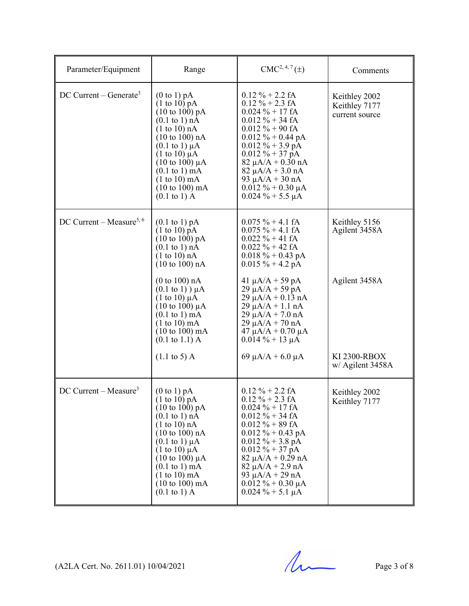| Parameter/Equipment                  | Range                                                                                                                                                                                                                                                                                                                                                                                                          | $CMC2, 4, 7(\pm)$                                                                                                                                                                                                                                                                                                                     | Comments                                         |
|--------------------------------------|----------------------------------------------------------------------------------------------------------------------------------------------------------------------------------------------------------------------------------------------------------------------------------------------------------------------------------------------------------------------------------------------------------------|---------------------------------------------------------------------------------------------------------------------------------------------------------------------------------------------------------------------------------------------------------------------------------------------------------------------------------------|--------------------------------------------------|
| $DC$ Current – Generate <sup>3</sup> | $(0 \text{ to } 1) \text{ pA}$<br>$(1 \text{ to } 10)$ pA<br>$(10 \text{ to } 100) \text{ pA}$<br>$(0.1 \text{ to } 1)$ nÅ<br>$(1 \text{ to } 10)$ nA<br>(10 to 100) nA<br>$(0.1 \text{ to } 1) \mu\text{A}$<br>$(1 \text{ to } 10) \mu A$<br>$(10 \text{ to } 100) \mu\text{A}$<br>$(0.1 \text{ to } 1) \text{ mA}$<br>$(1 to 10)$ mA<br>$(10 \text{ to } 100) \text{ mA}$<br>$(0.1 \text{ to } 1) \text{ A}$ | $0.12 \% + 2.2 fA$<br>$0.12 \% + 2.3 fA$<br>$0.024 \% + 17 fA$<br>$0.012 \% + 34 fA$<br>$0.012 \% + 90 fA$<br>$0.012 \% + 0.44 pA$<br>$0.012 \% + 3.9 \text{ pA}$<br>$0.012 \% + 37 \hat{p}A$<br>$82 \mu A/A + 0.30 nA$<br>$82 \mu A/A + 3.0 \text{ nA}$<br>93 $\mu A/A + 30$ nA<br>$0.012 \% + 0.30 \mu A$<br>$0.024 \% + 5.5 \mu A$ | Keithley 2002<br>Keithley 7177<br>current source |
| DC Current – Measure <sup>5, 6</sup> | $(0.1 \text{ to } 1) \text{ pA}$<br>$(1 \text{ to } 10) \text{ pA}$<br>$(10 \text{ to } 100) \text{ pA}$<br>$(0.1 \text{ to } 1)$ nÅ<br>$(1 \text{ to } 10)$ nA<br>(10 to 100) nA                                                                                                                                                                                                                              | $0.075 \% + 4.1 fA$<br>$0.075 \% + 4.1 fA$<br>$0.022 \% + 41 fA$<br>$0.022 \% + 42 fA$<br>$0.018 \% + 0.43 \text{ pA}$<br>$0.015 \% + 4.2 pA$                                                                                                                                                                                         | Keithley 5156<br>Agilent 3458A                   |
|                                      | (0 to 100) nA<br>$(0.1 \text{ to } 1)$ ) $\mu$ A<br>$(1 \text{ to } 10) \mu A$<br>(10 to 100) $\mu$ A<br>$(0.1 \text{ to } 1) \text{ mA}$<br>$(1 to 10)$ mA<br>$(10 \text{ to } 100) \text{ mA}$<br>$(0.1 \text{ to } 1.1)$ A                                                                                                                                                                                  | 41 $\mu A/A + 59$ pA<br>$29 \mu A/A + 59 pA$<br>$29 \mu A/A + 0.13 \text{ nA}$<br>$29 \mu A/A + 1.1 \text{ nA}$<br>$29 \mu A/A + 7.0 \text{ nA}$<br>$29 \mu A/A + 70 nA$<br>$47 \mu A/A + 0.70 \mu A$<br>$0.014\% + 13 \mu A$                                                                                                         | Agilent 3458A                                    |
|                                      | $(1.1 \text{ to } 5) \text{ A}$                                                                                                                                                                                                                                                                                                                                                                                | 69 $\mu$ A/A + 6.0 $\mu$ A                                                                                                                                                                                                                                                                                                            | KI 2300-RBOX<br>w/ Agilent 3458A                 |
| $DC$ Current – Measure <sup>3</sup>  | (0 to 1) pA<br>(1 to 10) pA<br>$(10 \text{ to } 100) \text{ pA}$<br>$(0.1 \text{ to } 1) \text{ nA}$<br>$(1 \text{ to } 10)$ nA<br>$(10 \text{ to } 100) \text{ nA}$<br>$(0.1 \text{ to } 1) \mu A$<br>$(1 \text{ to } 10) \mu A$<br>(10 to 100) $\mu$ A<br>$(0.1 \text{ to } 1) \text{ mA}$<br>$(1 to 10)$ mA<br>$(10 \text{ to } 100) \text{ mA}$<br>$(0.1 \text{ to } 1) \text{ A}$                         | $0.12 \% + 2.2 fA$<br>$0.12 \% + 2.3 fA$<br>$0.024 \% + 17 fA$<br>$0.012 \% + 34 fA$<br>$0.012 \% + 89 fA$<br>$0.012 \% + 0.43 \text{ pA}$<br>$0.012 \% + 3.8 \text{ pA}$<br>$0.012 \% + 37 pA$<br>$82 \mu A/A + 0.29 nA$<br>$82 \mu A/A + 2.9 nA$<br>93 $\mu$ A/A + 29 nA<br>$0.012 \% + 0.30 \mu A$<br>$0.024 \% + 5.1 \mu A$       | Keithley 2002<br>Keithley 7177                   |

 $(A2LA$  Cert. No. 2611.01) 10/04/2021 Page 3 of 8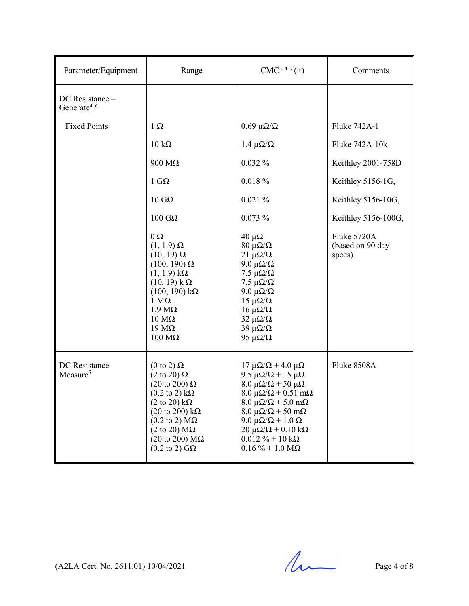| Parameter/Equipment                         | Range                                                                                                                                                                                                                                                                                                                                                       | $CMC2, 4, 7(\pm)$                                                                                                                                                                                                                                                                                                                                                             | Comments                                  |
|---------------------------------------------|-------------------------------------------------------------------------------------------------------------------------------------------------------------------------------------------------------------------------------------------------------------------------------------------------------------------------------------------------------------|-------------------------------------------------------------------------------------------------------------------------------------------------------------------------------------------------------------------------------------------------------------------------------------------------------------------------------------------------------------------------------|-------------------------------------------|
| DC Resistance -<br>Generate <sup>4, 6</sup> |                                                                                                                                                                                                                                                                                                                                                             |                                                                                                                                                                                                                                                                                                                                                                               |                                           |
| <b>Fixed Points</b>                         | $1\Omega$                                                                                                                                                                                                                                                                                                                                                   | $0.69 \mu\Omega/\Omega$                                                                                                                                                                                                                                                                                                                                                       | Fluke 742A-1                              |
|                                             | $10 \text{ k}\Omega$                                                                                                                                                                                                                                                                                                                                        | $1.4 \mu\Omega/\Omega$                                                                                                                                                                                                                                                                                                                                                        | Fluke 742A-10k                            |
|                                             | $900 \text{ M}\Omega$                                                                                                                                                                                                                                                                                                                                       | 0.032%                                                                                                                                                                                                                                                                                                                                                                        | Keithley 2001-758D                        |
|                                             | $1 \text{ G}\Omega$                                                                                                                                                                                                                                                                                                                                         | $0.018 \%$                                                                                                                                                                                                                                                                                                                                                                    | Keithley 5156-1G,                         |
|                                             | $10 \text{ } G\Omega$                                                                                                                                                                                                                                                                                                                                       | 0.021%                                                                                                                                                                                                                                                                                                                                                                        | Keithley 5156-10G,                        |
|                                             | $100$ GΩ                                                                                                                                                                                                                                                                                                                                                    | 0.073%                                                                                                                                                                                                                                                                                                                                                                        | Keithley 5156-100G,                       |
|                                             | $0\Omega$<br>$(1, 1.9) \Omega$<br>$(10, 19)$ $\Omega$<br>$(100, 190) \Omega$<br>$(1, 1.9) k\Omega$<br>$(10, 19)$ k $\Omega$<br>$(100, 190) k\Omega$<br>$1 M\Omega$<br>$1.9 M\Omega$<br>$10 \text{ M}\Omega$<br>$19 \text{ M}\Omega$<br>$100 \text{ M}\Omega$                                                                                                | $40 \mu\Omega$<br>$80 \mu\Omega/\Omega$<br>$21 \mu\Omega/\Omega$<br>9.0 μ $\Omega/\Omega$<br>7.5 $\mu\Omega/\Omega$<br>7.5 $\mu\Omega/\Omega$<br>9.0 μ $\Omega/\Omega$<br>$15 \mu\Omega/\Omega$<br>$16 \mu\Omega/\Omega$<br>$32 \mu\Omega/\Omega$<br>$39 \mu\Omega/\Omega$<br>95 μ $\Omega/\Omega$                                                                            | Fluke 5720A<br>(based on 90 day<br>specs) |
| DC Resistance -<br>Measure <sup>5</sup>     | $(0 \text{ to } 2) \Omega$<br>$(2 \text{ to } 20) \Omega$<br>$(20 \text{ to } 200) \Omega$<br>$(0.2 \text{ to } 2) \text{ k}\Omega$<br>$(2 \text{ to } 20) \text{ k}\Omega$<br>$(20 \text{ to } 200) \text{ k}\Omega$<br>$(0.2 \text{ to } 2) \text{ M}\Omega$<br>$(2 \text{ to } 20) \text{ M}\Omega$<br>(20 to 200) $M\Omega$<br>$(0.2 \text{ to } 2)$ GQ | $17 \mu\Omega/\Omega$ + 4.0 $\mu\Omega$<br>9.5 μ $\Omega/\Omega$ + 15 μ $\Omega$<br>$8.0 \mu\Omega/\Omega$ + 50 μ $\Omega$<br>$8.0 \mu\Omega/\Omega$ + 0.51 mΩ<br>$8.0 \mu\Omega/\Omega$ + 5.0 m $\Omega$<br>$8.0 \mu\Omega/\Omega$ + 50 m $\Omega$<br>9.0 μ $\Omega/\Omega$ + 1.0 Ω<br>$20 \mu\Omega/\Omega$ + 0.10 kΩ<br>$0.012 \% + 10 k\Omega$<br>$0.16\% + 1.0\ M\Omega$ | Fluke 8508A                               |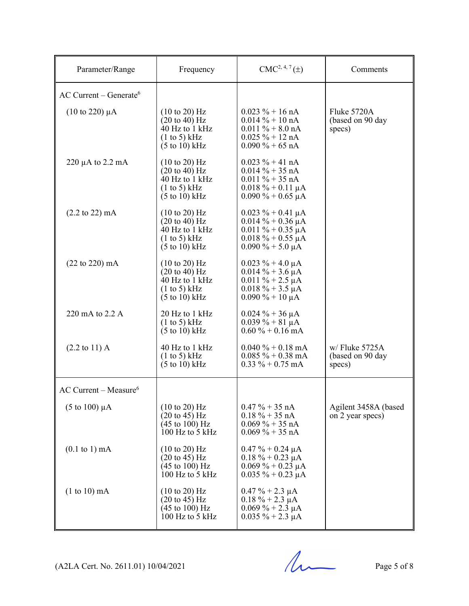| Parameter/Range                      | Frequency                                                                                                                                          | $CMC2, 4, 7(\pm)$                                                                                                                 | Comments                                       |
|--------------------------------------|----------------------------------------------------------------------------------------------------------------------------------------------------|-----------------------------------------------------------------------------------------------------------------------------------|------------------------------------------------|
| $AC$ Current – Generate <sup>6</sup> |                                                                                                                                                    |                                                                                                                                   |                                                |
| $(10 \text{ to } 220) \mu A$         | $(10 \text{ to } 20)$ Hz<br>$(20 \text{ to } 40)$ Hz<br>40 Hz to 1 kHz<br>$(1 \text{ to } 5)$ kHz<br>$(5 \text{ to } 10) \text{ kHz}$              | $0.023 \% + 16 nA$<br>$0.014\% + 10 \text{ nA}$<br>$0.011 \% + 8.0 nA$<br>$0.025 \% + 12 nA$<br>$0.090\% + 65 \text{ nA}$         | Fluke 5720A<br>(based on 90 day<br>specs)      |
| $220 \mu A$ to $2.2 \mu A$           | $(10 \text{ to } 20)$ Hz<br>$(20 \text{ to } 40)$ Hz<br>$40$ Hz to 1 kHz<br>$(1 \text{ to } 5)$ kHz<br>$(5 \text{ to } 10) \text{ kHz}$            | $0.023 \% + 41 nA$<br>$0.014\% + 35 \text{ nA}$<br>$0.011 \% + 35 nA$<br>$0.018 \% + 0.11 \mu A$<br>$0.090\% + 0.65 \mu A$        |                                                |
| $(2.2 \text{ to } 22) \text{ mA}$    | $(10 \text{ to } 20)$ Hz<br>$(20 \text{ to } 40)$ Hz<br>$\overline{40}$ Hz to 1 kHz<br>$(1 \text{ to } 5)$ kHz<br>$(5 \text{ to } 10) \text{ kHz}$ | $0.023 \% + 0.41 \mu A$<br>$0.014 \% + 0.36 \mu A$<br>$0.011 \% + 0.35 \mu A$<br>$0.018 \% + 0.55 \mu A$<br>$0.090\% + 5.0 \mu A$ |                                                |
| $(22 \text{ to } 220) \text{ mA}$    | $(10 \text{ to } 20)$ Hz<br>$(20 \text{ to } 40)$ Hz<br>40 Hz to 1 kHz<br>$(1 \text{ to } 5)$ kHz<br>$(5 \text{ to } 10) \text{ kHz}$              | $0.023 \% + 4.0 \mu A$<br>$0.014\% + 3.6 \mu A$<br>$0.011 \% + 2.5 \mu A$<br>$0.018 \% + 3.5 \mu A$<br>$0.090\% + 10 \mu A$       |                                                |
| 220 mA to 2.2 A                      | 20 Hz to 1 kHz<br>$(1 \text{ to } 5)$ kHz<br>$(5 \text{ to } 10) \text{ kHz}$                                                                      | $0.024 \% + 36 \mu A$<br>$0.039\% + 81 \mu A$<br>$0.60\% + 0.16$ mA                                                               |                                                |
| $(2.2 \text{ to } 11)$ A             | 40 Hz to 1 kHz<br>(1 to 5) kHz<br>$(5 \text{ to } 10) \text{ kHz}$                                                                                 | $0.040 \% + 0.18$ mA<br>$0.085 \% + 0.38$ mA<br>$0.33 \% + 0.75$ mA                                                               | $w/$ Fluke 5725A<br>(based on 90 day<br>specs) |
| $AC$ Current – Measure <sup>6</sup>  |                                                                                                                                                    |                                                                                                                                   |                                                |
| (5 to 100) $\mu$ A                   | $(10 \text{ to } 20)$ Hz<br>$(20 \text{ to } 45) \text{ Hz}$<br>$(45 \text{ to } 100) \text{ Hz}$<br>$100$ Hz to 5 kHz                             | $0.47\% + 35 \text{ nA}$<br>$0.18 \% + 35 nA$<br>$0.069\% + 35 \text{ nA}$<br>$0.069\% + 35 \text{ nA}$                           | Agilent 3458A (based<br>on 2 year specs)       |
| $(0.1 \text{ to } 1) \text{ mA}$     | $(10 \text{ to } 20)$ Hz<br>$(20 \text{ to } 45) \text{ Hz}$<br>$(45 \text{ to } 100) \text{ Hz}$<br>$100$ Hz to 5 kHz                             | $0.47 \% + 0.24 \mu A$<br>$0.18 \% + 0.23 \mu A$<br>$0.069\% + 0.23 \mu A$<br>$0.035 \% + 0.23 \mu A$                             |                                                |
| $(1 to 10)$ mA                       | $(10 \text{ to } 20)$ Hz<br>$(20 \text{ to } 45) \text{ Hz}$<br>$(45 \text{ to } 100) \text{ Hz}$<br>100 Hz to 5 kHz                               | $0.47 \% + 2.3 \mu A$<br>$0.18 \% + 2.3 \mu A$<br>$0.069\% + 2.3 \mu A$<br>$0.035 \% + 2.3 \mu A$                                 |                                                |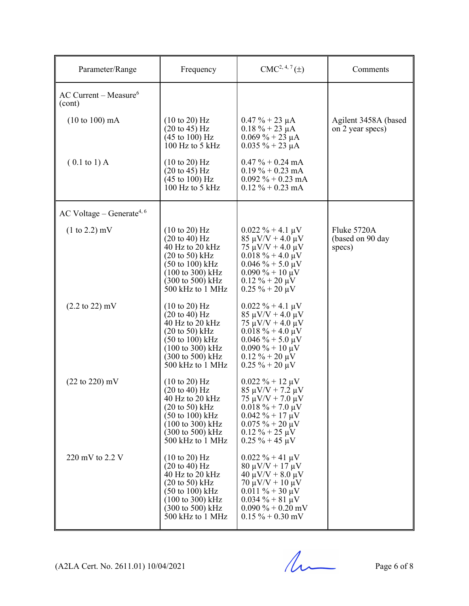| Parameter/Range                               | Frequency                                                                                                                                                                                                                                                    | $CMC2, 4, 7(\pm)$                                                                                                                                                                                                 | Comments                                  |
|-----------------------------------------------|--------------------------------------------------------------------------------------------------------------------------------------------------------------------------------------------------------------------------------------------------------------|-------------------------------------------------------------------------------------------------------------------------------------------------------------------------------------------------------------------|-------------------------------------------|
| $AC$ Current – Measure <sup>6</sup><br>(cont) |                                                                                                                                                                                                                                                              |                                                                                                                                                                                                                   |                                           |
| $(10 \text{ to } 100) \text{ mA}$             | $(10 \text{ to } 20)$ Hz<br>$(20 \text{ to } 45) \text{ Hz}$<br>$(45 \text{ to } 100) \text{ Hz}$<br>$100$ Hz to 5 kHz                                                                                                                                       | $0.47 \% + 23 \mu A$<br>$0.18 \% + 23 \mu A$<br>$0.069\% + 23 \mu A$<br>$0.035 \% + 23 \mu A$                                                                                                                     | Agilent 3458A (based<br>on 2 year specs)  |
| $(0.1 \text{ to } 1)$ A                       | $(10 \text{ to } 20)$ Hz<br>$(20 \text{ to } 45) \text{ Hz}$<br>$(45 \text{ to } 100) \text{ Hz}$<br>100 Hz to 5 kHz                                                                                                                                         | $0.47\% + 0.24 \text{ mA}$<br>$0.19\% + 0.23 \text{ mA}$<br>$0.092 \% + 0.23$ mA<br>$0.12\% + 0.23 \text{ mA}$                                                                                                    |                                           |
| AC Voltage – Generate <sup>4, 6</sup>         |                                                                                                                                                                                                                                                              |                                                                                                                                                                                                                   |                                           |
| $(1 \text{ to } 2.2) \text{ mV}$              | $(10 \text{ to } 20)$ Hz<br>$(20 \text{ to } 40) \text{ Hz}$<br>40 Hz to 20 kHz<br>$(20 \text{ to } 50)$ kHz<br>$(50 \text{ to } 100) \text{ kHz}$<br>$(100 \text{ to } 300) \text{ kHz}$<br>$(300 \text{ to } 500) \text{ kHz}$<br>500 kHz to 1 MHz         | $0.022 \% + 4.1 \mu V$<br>$85 \mu V/V + 4.0 \mu V$<br>$75 \mu V/V + 4.0 \mu V$<br>$0.018 \% + 4.0 \mu V$<br>$0.046\% + 5.0 \,\mu\text{V}$<br>$0.090\% + 10 \mu V$<br>$0.12 \% + 20 \mu V$<br>$0.25 \% + 20 \mu V$ | Fluke 5720A<br>(based on 90 day<br>specs) |
| $(2.2 \text{ to } 22) \text{ mV}$             | $(10 \text{ to } 20)$ Hz<br>$(20 \text{ to } 40) \text{ Hz}$<br>40 Hz to 20 kHz<br>$(20 \text{ to } 50) \text{ kHz}$<br>$(50 \text{ to } 100) \text{ kHz}$<br>$(100 \text{ to } 300) \text{ kHz}$<br>$(300 \text{ to } 500) \text{ kHz}$<br>500 kHz to 1 MHz | $0.022 \% + 4.1 \mu V$<br>$85 \mu V/V + 4.0 \mu V$<br>$75 \mu V/V + 4.0 \mu V$<br>$0.018 \% + 4.0 \mu V$<br>$0.046\% + 5.0 \,\mu\text{V}$<br>$0.090\% + 10 \mu V$<br>$0.12 \% + 20 \mu V$<br>$0.25 \% + 20 \mu V$ |                                           |
| $(22 \text{ to } 220) \text{ mV}$             | $(10 \text{ to } 20)$ Hz<br>$(20 \text{ to } 40) \text{ Hz}$<br>40 Hz to 20 kHz<br>$(20 \text{ to } 50) \text{ kHz}$<br>$(50 \text{ to } 100) \text{ kHz}$<br>$(100 \text{ to } 300) \text{ kHz}$<br>$(300 \text{ to } 500) \text{ kHz}$<br>500 kHz to 1 MHz | $0.022 \% + 12 \mu V$<br>$85 \mu V/V + 7.2 \mu V$<br>$75 \mu V/V + 7.0 \mu V$<br>$0.018 \% + 7.0 \mu V$<br>$0.042 \% + 17 \mu V$<br>$0.075 \% + 20 \mu V$<br>$0.12 \% + 25 \mu V$<br>$0.25 \% + 45 \mu V$         |                                           |
| 220 mV to 2.2 V                               | $(10 \text{ to } 20)$ Hz<br>$(20 \text{ to } 40) \text{ Hz}$<br>40 Hz to 20 kHz<br>$(20 \text{ to } 50) \text{ kHz}$<br>$(50 \text{ to } 100) \text{ kHz}$<br>$(100 \text{ to } 300) \text{ kHz}$<br>$(300 \text{ to } 500) \text{ kHz}$<br>500 kHz to 1 MHz | $0.022 \% + 41 \mu V$<br>$80 \mu V/V + 17 \mu V$<br>$40 \mu V/V + 8.0 \mu V$<br>$70 \mu V/V + 10 \mu V$<br>$0.011 \% + 30 \mu V$<br>$0.034 \% + 81 \mu V$<br>$0.090\% + 0.20$ mV<br>$0.15 \% + 0.30$ mV           |                                           |

 $(A2LA$  Cert. No. 2611.01) 10/04/2021 Page 6 of 8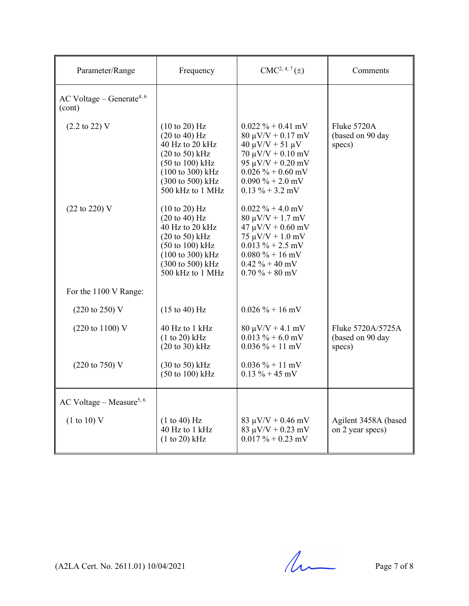| Parameter/Range                                 | Frequency                                                                                                                                                                                                                         | $CMC2, 4, 7(\pm)$                                                                                                                                                                                     | Comments                                        |
|-------------------------------------------------|-----------------------------------------------------------------------------------------------------------------------------------------------------------------------------------------------------------------------------------|-------------------------------------------------------------------------------------------------------------------------------------------------------------------------------------------------------|-------------------------------------------------|
| AC Voltage – Generate <sup>4, 6</sup><br>(cont) |                                                                                                                                                                                                                                   |                                                                                                                                                                                                       |                                                 |
| $(2.2 \text{ to } 22) \text{ V}$                | $(10 \text{ to } 20)$ Hz<br>$(20 \text{ to } 40)$ Hz<br>40 Hz to 20 kHz<br>$(20 \text{ to } 50)$ kHz<br>$(50 \text{ to } 100) \text{ kHz}$<br>(100 to 300) kHz<br>(300 to 500) kHz<br>500 kHz to 1 MHz                            | $0.022 \% + 0.41$ mV<br>$80 \mu V/V + 0.17 \ mV$<br>$40 \mu V/V + 51 \mu V$<br>$70 \mu V/V + 0.10 \ mV$<br>95 $\mu$ V/V + 0.20 mV<br>$0.026 \% + 0.60$ mV<br>$0.090\% + 2.0$ mV<br>$0.13 \% + 3.2$ mV | Fluke 5720A<br>(based on 90 day<br>specs)       |
| $(22 \text{ to } 220)$ V                        | $(10 \text{ to } 20)$ Hz<br>$(20 \text{ to } 40) \text{ Hz}$<br>40 Hz to 20 kHz<br>$(20 \text{ to } 50)$ kHz<br>$(50 \text{ to } 100) \text{ kHz}$<br>$(100 \text{ to } 300) \text{ kHz}$<br>(300 to 500) kHz<br>500 kHz to 1 MHz | $0.022 \% + 4.0$ mV<br>$80 \mu V/V + 1.7 \ mV$<br>$47 \mu V/V + 0.60 \ mV$<br>$75 \mu V/V + 1.0 \ mV$<br>$0.013 \% + 2.5$ mV<br>$0.080\% + 16$ mV<br>$0.42 \% + 40 mV$<br>$0.70\% + 80$ mV            |                                                 |
| For the 1100 V Range:                           |                                                                                                                                                                                                                                   |                                                                                                                                                                                                       |                                                 |
| $(220 \text{ to } 250) \text{ V}$               | $(15 \text{ to } 40) \text{ Hz}$                                                                                                                                                                                                  | $0.026 \% + 16$ mV                                                                                                                                                                                    |                                                 |
| (220 to 1100) V                                 | 40 Hz to 1 kHz<br>(1 to 20) kHz<br>$(20 \text{ to } 30)$ kHz                                                                                                                                                                      | $80 \mu V/V + 4.1 \ mV$<br>$0.013 \% + 6.0$ mV<br>$0.036 \% + 11$ mV                                                                                                                                  | Fluke 5720A/5725A<br>(based on 90 day<br>specs) |
| $(220 \text{ to } 750) \text{ V}$               | $(30 \text{ to } 50)$ kHz<br>$(50 \text{ to } 100) \text{ kHz}$                                                                                                                                                                   | $0.036\% + 11 \text{ mV}$<br>$0.13 \% + 45 mV$                                                                                                                                                        |                                                 |
| AC Voltage – Measure <sup>5, 6</sup>            |                                                                                                                                                                                                                                   |                                                                                                                                                                                                       |                                                 |
| (1 to 10) V                                     | (1 to 40) Hz<br>40 Hz to 1 kHz<br>$(1 to 20)$ kHz                                                                                                                                                                                 | $83 \mu V/V + 0.46 \ mV$<br>83 $\mu$ V/V + 0.23 mV<br>$0.017 \% + 0.23$ mV                                                                                                                            | Agilent 3458A (based<br>on 2 year specs)        |

 $(A2LA$  Cert. No. 2611.01) 10/04/2021 Page 7 of 8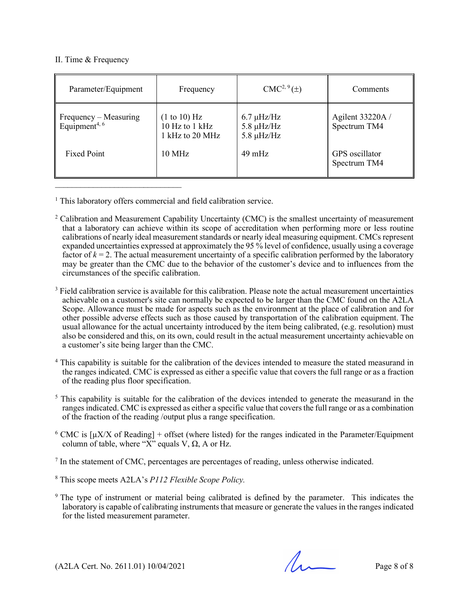#### II. Time & Frequency

| Parameter/Equipment                                | Frequency                                         | $CMC2, 9(\pm)$                                        | Comments                         |
|----------------------------------------------------|---------------------------------------------------|-------------------------------------------------------|----------------------------------|
| Frequency – Measuring<br>Equipment <sup>4, 6</sup> | (1 to 10) Hz<br>10 Hz to 1 kHz<br>1 kHz to 20 MHz | $6.7 \mu$ Hz/Hz<br>$5.8 \mu$ Hz/Hz<br>$5.8 \mu$ Hz/Hz | Agilent 33220A /<br>Spectrum TM4 |
| <b>Fixed Point</b>                                 | $10 \text{ MHz}$                                  | $49 \text{ mHz}$                                      | GPS oscillator<br>Spectrum TM4   |

<sup>1</sup> This laboratory offers commercial and field calibration service.

- $2$  Calibration and Measurement Capability Uncertainty (CMC) is the smallest uncertainty of measurement that a laboratory can achieve within its scope of accreditation when performing more or less routine calibrations of nearly ideal measurement standards or nearly ideal measuring equipment. CMCs represent expanded uncertainties expressed at approximately the 95 % level of confidence, usually using a coverage factor of  $k = 2$ . The actual measurement uncertainty of a specific calibration performed by the laboratory may be greater than the CMC due to the behavior of the customer's device and to influences from the circumstances of the specific calibration.
- <sup>3</sup> Field calibration service is available for this calibration. Please note the actual measurement uncertainties achievable on a customer's site can normally be expected to be larger than the CMC found on the A2LA Scope. Allowance must be made for aspects such as the environment at the place of calibration and for other possible adverse effects such as those caused by transportation of the calibration equipment. The usual allowance for the actual uncertainty introduced by the item being calibrated, (e.g. resolution) must also be considered and this, on its own, could result in the actual measurement uncertainty achievable on a customer's site being larger than the CMC.
- <sup>4</sup> This capability is suitable for the calibration of the devices intended to measure the stated measurand in the ranges indicated. CMC is expressed as either a specific value that covers the full range or as a fraction of the reading plus floor specification.
- <sup>5</sup> This capability is suitable for the calibration of the devices intended to generate the measurand in the ranges indicated. CMC is expressed as either a specific value that covers the full range or as a combination of the fraction of the reading /output plus a range specification.
- <sup>6</sup> CMC is  $\lceil \mu X/X \rceil$  Reading] + offset (where listed) for the ranges indicated in the Parameter/Equipment column of table, where " $\overrightarrow{X}$ " equals  $\overrightarrow{V}$ ,  $\Omega$ , A or Hz.
- <sup>7</sup> In the statement of CMC, percentages are percentages of reading, unless otherwise indicated.
- <sup>8</sup> This scope meets A2LA's *P112 Flexible Scope Policy.*
- 9 The type of instrument or material being calibrated is defined by the parameter. This indicates the laboratory is capable of calibrating instruments that measure or generate the values in the ranges indicated for the listed measurement parameter.

 $(A2LA$  Cert. No. 2611.01) 10/04/2021 Page 8 of 8